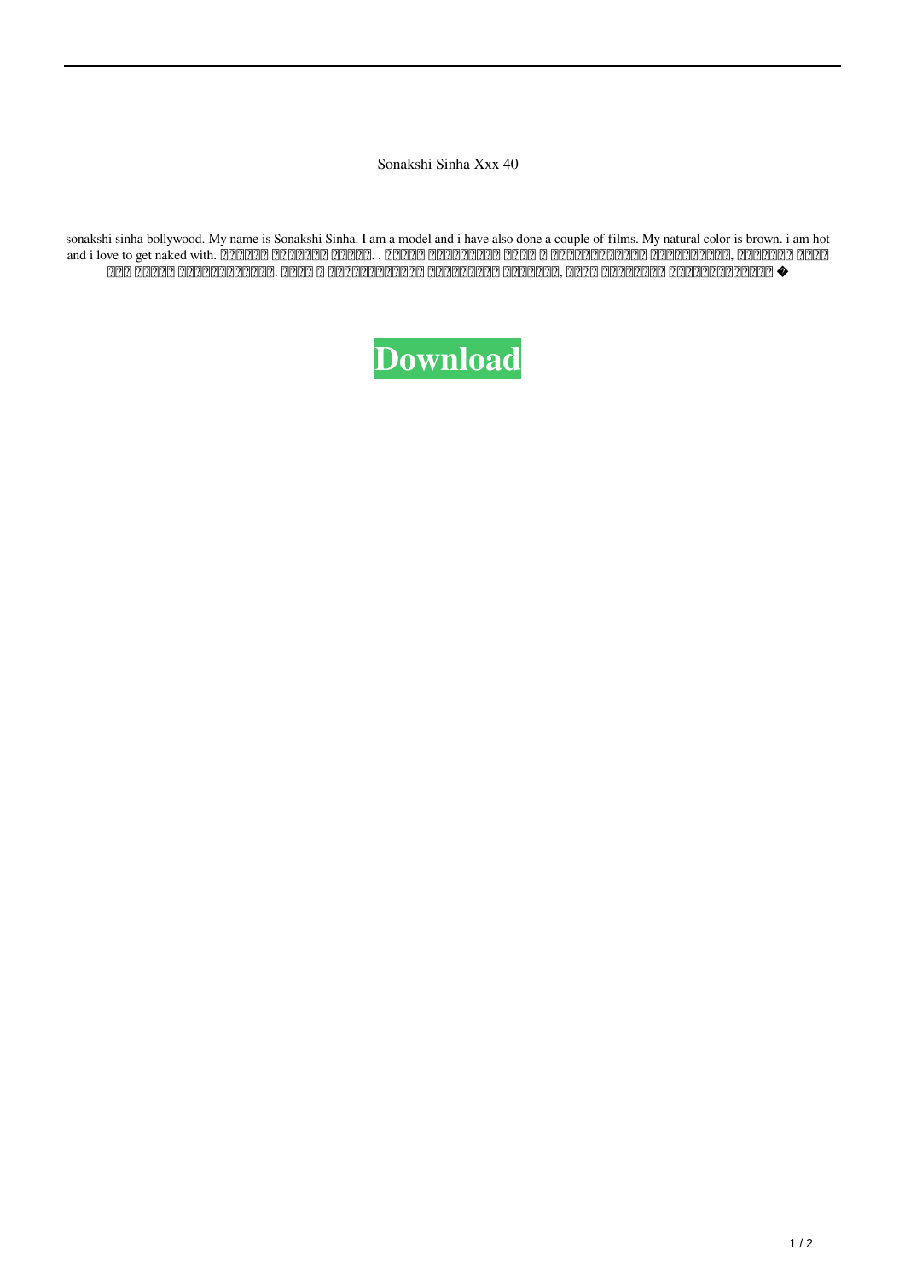Sonakshi Sinha Xxx 40

sonakshi sinha bollywood. My name is Sonakshi Sinha. I am a model and i have also done a couple of films. My natural color is brown. i am hot and i love to get naked with. **and an individual and an individual and a** solid and a solid and a solid and solid and a ಇದು ಬಹುಶಃ ಮರುಕಳುತ್ತಾನೆ. ನಾನು ಆ ಸಂಗ್ರಹಗಳನ್ನು ನಿಜವಾಗಿಯೂ ಮಾಡಿದರೆ, ನಾನು ಅನಂತವಾಗಿ ಮಾರ್ಗದರ್ಶನಗಳು �